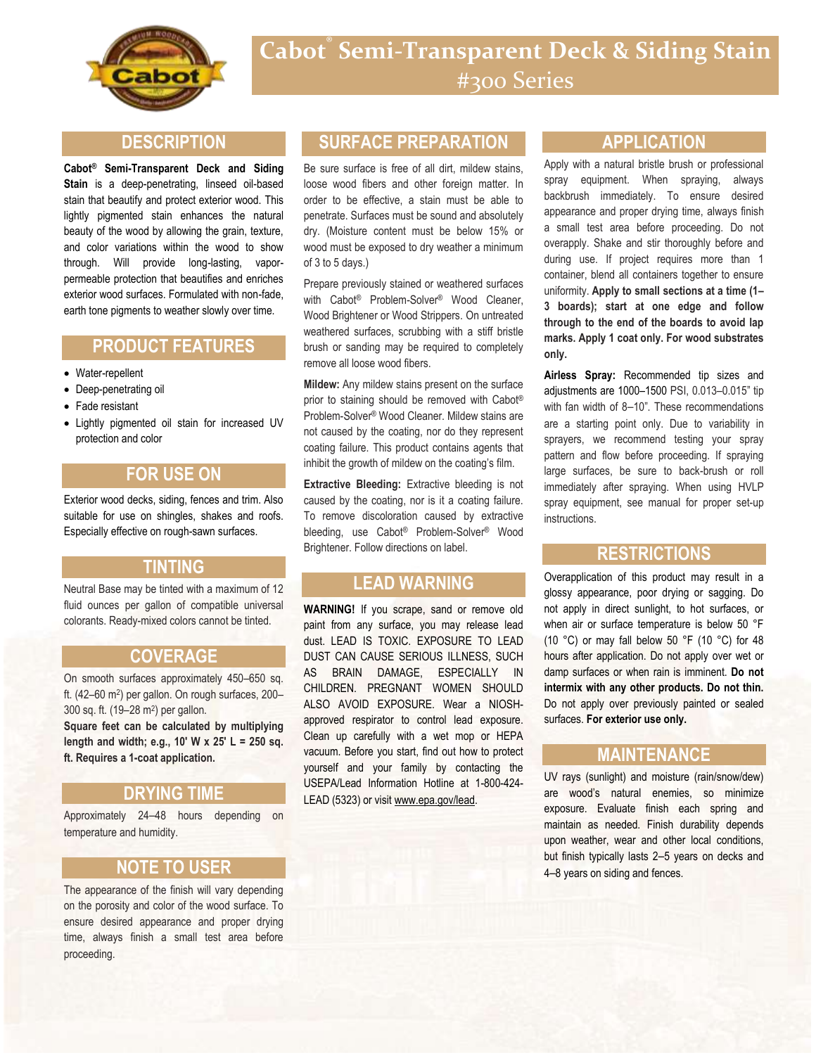

#### **DESCRIPTION**

**Cabot® Semi-Transparent Deck and Siding Stain** is a deep-penetrating, linseed oil-based stain that beautify and protect exterior wood. This lightly pigmented stain enhances the natural beauty of the wood by allowing the grain, texture, and color variations within the wood to show through. Will provide long-lasting, vaporpermeable protection that beautifies and enriches exterior wood surfaces. Formulated with non-fade, earth tone pigments to weather slowly over time.

# **PRODUCT FEATURES**

- Water-repellent
- Deep-penetrating oil
- Fade resistant
- Lightly pigmented oil stain for increased UV protection and color

## **FOR USE ON**

Exterior wood decks, siding, fences and trim. Also suitable for use on shingles, shakes and roofs. Especially effective on rough-sawn surfaces.

#### **TINTING**

Neutral Base may be tinted with a maximum of 12 fluid ounces per gallon of compatible universal colorants. Ready-mixed colors cannot be tinted.

#### **COVERAGE**

On smooth surfaces approximately 450–650 sq. ft. (42-60 m<sup>2</sup>) per gallon. On rough surfaces, 200-300 sq. ft. (19–28 m<sup>2</sup> ) per gallon.

**Square feet can be calculated by multiplying length and width; e.g., 10' W x 25' L = 250 sq. ft. Requires a 1-coat application.**

#### **DRYING TIME**

Approximately 24–48 hours depending on temperature and humidity.

## **NOTE TO USER**

The appearance of the finish will vary depending on the porosity and color of the wood surface. To ensure desired appearance and proper drying time, always finish a small test area before proceeding.

## **SURFACE PREPARATION**

Be sure surface is free of all dirt, mildew stains, loose wood fibers and other foreign matter. In order to be effective, a stain must be able to penetrate. Surfaces must be sound and absolutely dry. (Moisture content must be below 15% or wood must be exposed to dry weather a minimum of 3 to 5 days.)

Prepare previously stained or weathered surfaces with Cabot<sup>®</sup> Problem-Solver<sup>®</sup> Wood Cleaner, Wood Brightener or Wood Strippers. On untreated weathered surfaces, scrubbing with a stiff bristle brush or sanding may be required to completely remove all loose wood fibers.

**Mildew:** Any mildew stains present on the surface prior to staining should be removed with Cabot® Problem-Solver® Wood Cleaner. Mildew stains are not caused by the coating, nor do they represent coating failure. This product contains agents that inhibit the growth of mildew on the coating's film.

**Extractive Bleeding: Extractive bleeding is not** caused by the coating, nor is it a coating failure. To remove discoloration caused by extractive bleeding, use Cabot® Problem-Solver® Wood Brightener. Follow directions on label.

# **LEAD WARNING**

**WARNING!** If you scrape, sand or remove old paint from any surface, you may release lead dust. LEAD IS TOXIC. EXPOSURE TO LEAD DUST CAN CAUSE SERIOUS ILLNESS, SUCH AS BRAIN DAMAGE, ESPECIALLY IN CHILDREN. PREGNANT WOMEN SHOULD ALSO AVOID EXPOSURE. Wear a NIOSHapproved respirator to control lead exposure. Clean up carefully with a wet mop or HEPA vacuum. Before you start, find out how to protect yourself and your family by contacting the USEPA/Lead Information Hotline at 1-800-424- LEAD (5323) or visit www.epa.gov/lead.

#### **APPLICATION**

Apply with a natural bristle brush or professional spray equipment. When spraying, always backbrush immediately. To ensure desired appearance and proper drying time, always finish a small test area before proceeding. Do not overapply. Shake and stir thoroughly before and during use. If project requires more than 1 container, blend all containers together to ensure uniformity. **Apply to small sections at a time (1– 3 boards); start at one edge and follow through to the end of the boards to avoid lap marks. Apply 1 coat only. For wood substrates only.**

**Airless Spray:** Recommended tip sizes and adjustments are 1000–1500 PSI, 0.013–0.015" tip with fan width of 8–10". These recommendations are a starting point only. Due to variability in sprayers, we recommend testing your spray pattern and flow before proceeding. If spraying large surfaces, be sure to back-brush or roll immediately after spraying. When using HVLP spray equipment, see manual for proper set-up instructions.

#### **RESTRICTIONS**

Overapplication of this product may result in a glossy appearance, poor drying or sagging. Do not apply in direct sunlight, to hot surfaces, or when air or surface temperature is below 50 °F (10 °C) or may fall below 50 °F (10 °C) for 48 hours after application. Do not apply over wet or damp surfaces or when rain is imminent. **Do not intermix with any other products. Do not thin.** Do not apply over previously painted or sealed surfaces. **For exterior use only.**

#### **MAINTENANCE**

UV rays (sunlight) and moisture (rain/snow/dew) are wood's natural enemies, so minimize exposure. Evaluate finish each spring and maintain as needed. Finish durability depends upon weather, wear and other local conditions, but finish typically lasts 2–5 years on decks and 4–8 years on siding and fences.